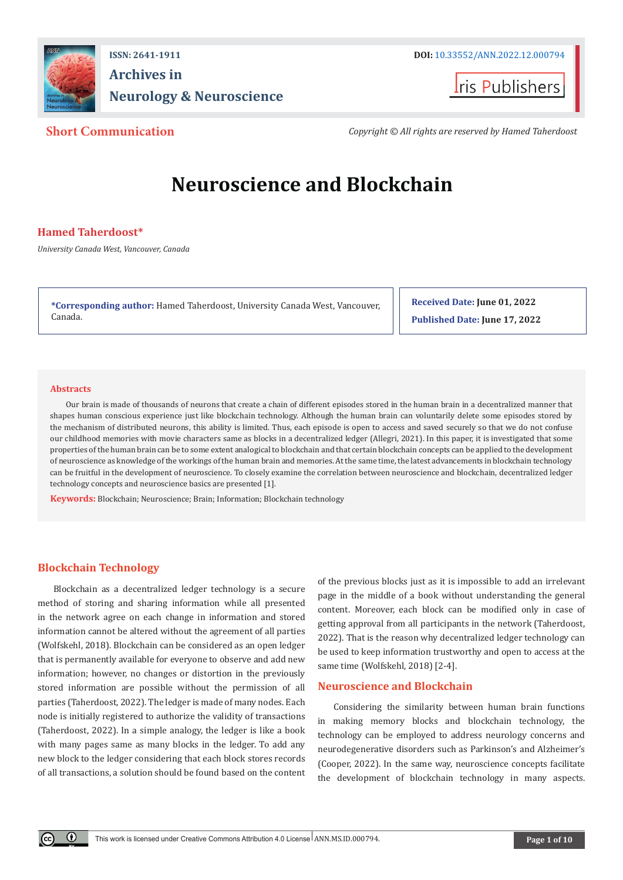

**ISSN: 2641-1911 DOI:** [10.33552/ANN.2022.12.000794](http://dx.doi.org/10.33552/ANN.2022.12.000794) **Archives in Neurology & Neuroscience**



**Short Communication** *Copyright © All rights are reserved by Hamed Taherdoost*

# **Neuroscience and Blockchain**

# **Hamed Taherdoost\***

*University Canada West, Vancouver, Canada*

**\*Corresponding author:** Hamed Taherdoost, University Canada West, Vancouver, Canada.

**Received Date: June 01, 2022 Published Date: June 17, 2022**

#### **Abstracts**

Our brain is made of thousands of neurons that create a chain of different episodes stored in the human brain in a decentralized manner that shapes human conscious experience just like blockchain technology. Although the human brain can voluntarily delete some episodes stored by the mechanism of distributed neurons, this ability is limited. Thus, each episode is open to access and saved securely so that we do not confuse our childhood memories with movie characters same as blocks in a decentralized ledger (Allegri, 2021). In this paper, it is investigated that some properties of the human brain can be to some extent analogical to blockchain and that certain blockchain concepts can be applied to the development of neuroscience as knowledge of the workings of the human brain and memories. At the same time, the latest advancements in blockchain technology can be fruitful in the development of neuroscience. To closely examine the correlation between neuroscience and blockchain, decentralized ledger technology concepts and neuroscience basics are presented [1].

**Keywords:** Blockchain; Neuroscience; Brain; Information; Blockchain technology

# **Blockchain Technology**

 $\left( \cdot \right)$ 

Blockchain as a decentralized ledger technology is a secure method of storing and sharing information while all presented in the network agree on each change in information and stored information cannot be altered without the agreement of all parties (Wolfskehl, 2018). Blockchain can be considered as an open ledger that is permanently available for everyone to observe and add new information; however, no changes or distortion in the previously stored information are possible without the permission of all parties (Taherdoost, 2022). The ledger is made of many nodes. Each node is initially registered to authorize the validity of transactions (Taherdoost, 2022). In a simple analogy, the ledger is like a book with many pages same as many blocks in the ledger. To add any new block to the ledger considering that each block stores records of all transactions, a solution should be found based on the content of the previous blocks just as it is impossible to add an irrelevant page in the middle of a book without understanding the general content. Moreover, each block can be modified only in case of getting approval from all participants in the network (Taherdoost, 2022). That is the reason why decentralized ledger technology can be used to keep information trustworthy and open to access at the same time (Wolfskehl, 2018) [2-4].

### **Neuroscience and Blockchain**

Considering the similarity between human brain functions in making memory blocks and blockchain technology, the technology can be employed to address neurology concerns and neurodegenerative disorders such as Parkinson's and Alzheimer's (Cooper, 2022). In the same way, neuroscience concepts facilitate the development of blockchain technology in many aspects.